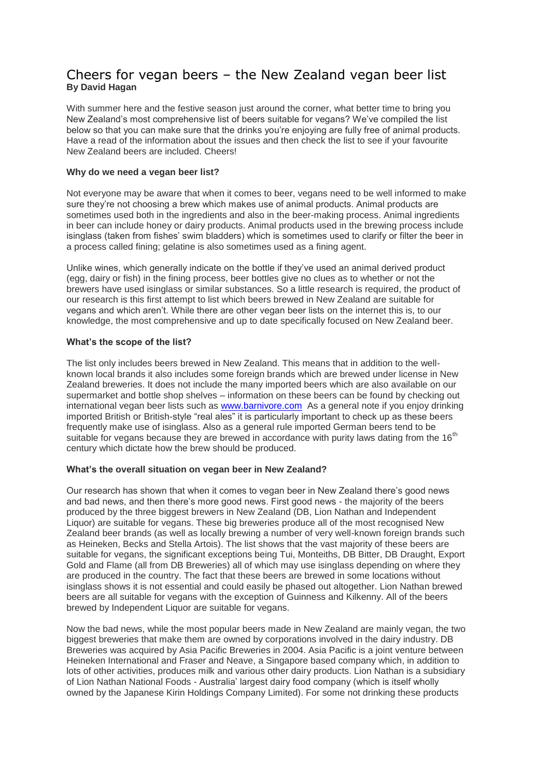### Cheers for vegan beers – the New Zealand vegan beer list **By David Hagan**

With summer here and the festive season just around the corner, what better time to bring you New Zealand's most comprehensive list of beers suitable for vegans? We've compiled the list below so that you can make sure that the drinks you're enjoying are fully free of animal products. Have a read of the information about the issues and then check the list to see if your favourite New Zealand beers are included. Cheers!

#### **Why do we need a vegan beer list?**

Not everyone may be aware that when it comes to beer, vegans need to be well informed to make sure they're not choosing a brew which makes use of animal products. Animal products are sometimes used both in the ingredients and also in the beer-making process. Animal ingredients in beer can include honey or dairy products. Animal products used in the brewing process include isinglass (taken from fishes' swim bladders) which is sometimes used to clarify or filter the beer in a process called fining; gelatine is also sometimes used as a fining agent.

Unlike wines, which generally indicate on the bottle if they've used an animal derived product (egg, dairy or fish) in the fining process, beer bottles give no clues as to whether or not the brewers have used isinglass or similar substances. So a little research is required, the product of our research is this first attempt to list which beers brewed in New Zealand are suitable for vegans and which aren't. While there are other vegan beer lists on the internet this is, to our knowledge, the most comprehensive and up to date specifically focused on New Zealand beer.

#### **What's the scope of the list?**

The list only includes beers brewed in New Zealand. This means that in addition to the wellknown local brands it also includes some foreign brands which are brewed under license in New Zealand breweries. It does not include the many imported beers which are also available on our supermarket and bottle shop shelves – information on these beers can be found by checking out international vegan beer lists such as [www.barnivore.com](http://www.barnivore.com/) As a general note if you enjoy drinking imported British or British-style "real ales" it is particularly important to check up as these beers frequently make use of isinglass. Also as a general rule imported German beers tend to be suitable for vegans because they are brewed in accordance with purity laws dating from the 16<sup>th</sup> century which dictate how the brew should be produced.

#### **What's the overall situation on vegan beer in New Zealand?**

Our research has shown that when it comes to vegan beer in New Zealand there's good news and bad news, and then there's more good news. First good news - the majority of the beers produced by the three biggest brewers in New Zealand (DB, Lion Nathan and Independent Liquor) are suitable for vegans. These big breweries produce all of the most recognised New Zealand beer brands (as well as locally brewing a number of very well-known foreign brands such as Heineken, Becks and Stella Artois). The list shows that the vast majority of these beers are suitable for vegans, the significant exceptions being Tui, Monteiths, DB Bitter, DB Draught, Export Gold and Flame (all from DB Breweries) all of which may use isinglass depending on where they are produced in the country. The fact that these beers are brewed in some locations without isinglass shows it is not essential and could easily be phased out altogether. Lion Nathan brewed beers are all suitable for vegans with the exception of Guinness and Kilkenny. All of the beers brewed by Independent Liquor are suitable for vegans.

Now the bad news, while the most popular beers made in New Zealand are mainly vegan, the two biggest breweries that make them are owned by corporations involved in the dairy industry. DB Breweries was acquired by Asia Pacific Breweries in 2004. Asia Pacific is a joint venture between Heineken International and Fraser and Neave, a Singapore based company which, in addition to lots of other activities, produces milk and various other dairy products. Lion Nathan is a subsidiary of Lion Nathan National Foods - Australia' largest dairy food company (which is itself wholly owned by the Japanese Kirin Holdings Company Limited). For some not drinking these products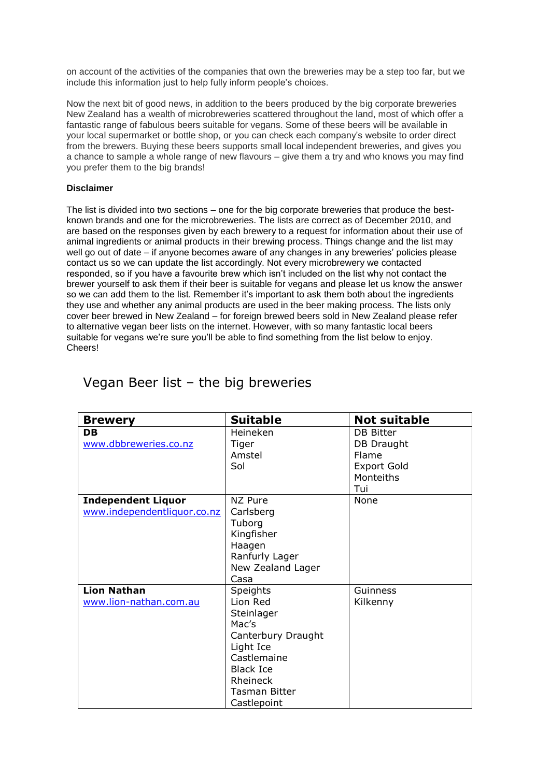on account of the activities of the companies that own the breweries may be a step too far, but we include this information just to help fully inform people's choices.

Now the next bit of good news, in addition to the beers produced by the big corporate breweries New Zealand has a wealth of microbreweries scattered throughout the land, most of which offer a fantastic range of fabulous beers suitable for vegans. Some of these beers will be available in your local supermarket or bottle shop, or you can check each company's website to order direct from the brewers. Buying these beers supports small local independent breweries, and gives you a chance to sample a whole range of new flavours – give them a try and who knows you may find you prefer them to the big brands!

#### **Disclaimer**

The list is divided into two sections – one for the big corporate breweries that produce the bestknown brands and one for the microbreweries. The lists are correct as of December 2010, and are based on the responses given by each brewery to a request for information about their use of animal ingredients or animal products in their brewing process. Things change and the list may well go out of date – if anyone becomes aware of any changes in any breweries' policies please contact us so we can update the list accordingly. Not every microbrewery we contacted responded, so if you have a favourite brew which isn't included on the list why not contact the brewer yourself to ask them if their beer is suitable for vegans and please let us know the answer so we can add them to the list. Remember it's important to ask them both about the ingredients they use and whether any animal products are used in the beer making process. The lists only cover beer brewed in New Zealand – for foreign brewed beers sold in New Zealand please refer to alternative vegan beer lists on the internet. However, with so many fantastic local beers suitable for vegans we're sure you'll be able to find something from the list below to enjoy. Cheers!

| <b>Brewery</b>                                           | <b>Suitable</b>                                                                                                                                                             | <b>Not suitable</b>                                                        |
|----------------------------------------------------------|-----------------------------------------------------------------------------------------------------------------------------------------------------------------------------|----------------------------------------------------------------------------|
| <b>DB</b><br>www.dbbreweries.co.nz                       | Heineken<br>Tiger<br>Amstel<br>Sol                                                                                                                                          | DB Bitter<br>DB Draught<br>Flame<br><b>Export Gold</b><br>Monteiths<br>Tui |
| <b>Independent Liquor</b><br>www.independentliquor.co.nz | NZ Pure<br>Carlsberg<br>Tuborg<br>Kingfisher<br>Haagen<br>Ranfurly Lager<br>New Zealand Lager<br>Casa                                                                       | None                                                                       |
| <b>Lion Nathan</b><br>www.lion-nathan.com.au             | <b>Speights</b><br>Lion Red<br>Steinlager<br>Mac's<br>Canterbury Draught<br>Light Ice<br>Castlemaine<br><b>Black Ice</b><br>Rheineck<br><b>Tasman Bitter</b><br>Castlepoint | Guinness<br>Kilkenny                                                       |

## Vegan Beer list – the big breweries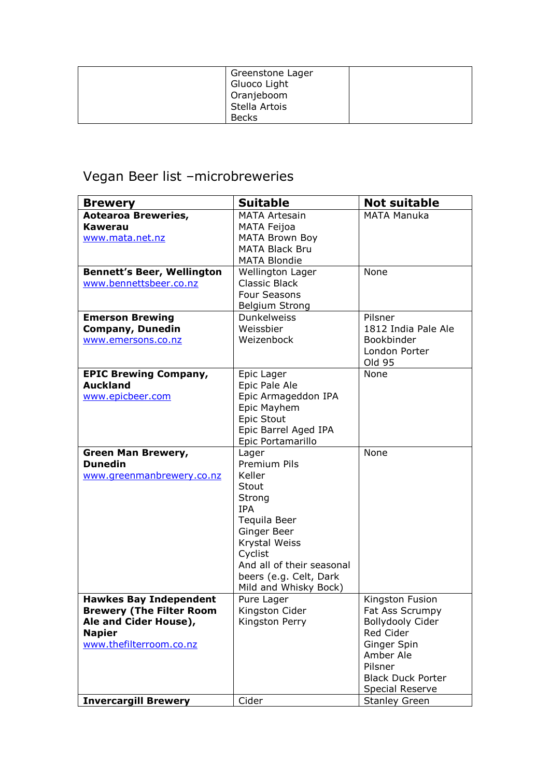| Greenstone Lager<br>Gluoco Light |  |
|----------------------------------|--|
| Oranjeboom                       |  |
| Stella Artois                    |  |
| <b>Becks</b>                     |  |

# Vegan Beer list –microbreweries

| <b>Brewery</b>                    | <b>Suitable</b>           | <b>Not suitable</b>      |
|-----------------------------------|---------------------------|--------------------------|
| <b>Aotearoa Breweries,</b>        | <b>MATA Artesain</b>      | <b>MATA Manuka</b>       |
| Kawerau                           | <b>MATA Feijoa</b>        |                          |
| www.mata.net.nz                   | <b>MATA Brown Boy</b>     |                          |
|                                   | <b>MATA Black Bru</b>     |                          |
|                                   | <b>MATA Blondie</b>       |                          |
| <b>Bennett's Beer, Wellington</b> | <b>Wellington Lager</b>   | None                     |
| www.bennettsbeer.co.nz            | <b>Classic Black</b>      |                          |
|                                   | Four Seasons              |                          |
|                                   | <b>Belgium Strong</b>     |                          |
| <b>Emerson Brewing</b>            | <b>Dunkelweiss</b>        | Pilsner                  |
| <b>Company, Dunedin</b>           | Weissbier                 | 1812 India Pale Ale      |
| www.emersons.co.nz                | Weizenbock                | Bookbinder               |
|                                   |                           | London Porter            |
|                                   |                           | Old 95                   |
| <b>EPIC Brewing Company,</b>      | Epic Lager                | None                     |
| <b>Auckland</b>                   | Epic Pale Ale             |                          |
| www.epicbeer.com                  | Epic Armageddon IPA       |                          |
|                                   | Epic Mayhem               |                          |
|                                   | Epic Stout                |                          |
|                                   | Epic Barrel Aged IPA      |                          |
|                                   | Epic Portamarillo         |                          |
| Green Man Brewery,                | Lager                     | None                     |
| <b>Dunedin</b>                    | Premium Pils              |                          |
| www.greenmanbrewery.co.nz         | Keller                    |                          |
|                                   | Stout                     |                          |
|                                   | Strong                    |                          |
|                                   | <b>IPA</b>                |                          |
|                                   | Tequila Beer              |                          |
|                                   | Ginger Beer               |                          |
|                                   | Krystal Weiss             |                          |
|                                   | Cyclist                   |                          |
|                                   | And all of their seasonal |                          |
|                                   | beers (e.g. Celt, Dark    |                          |
|                                   | Mild and Whisky Bock)     |                          |
| <b>Hawkes Bay Independent</b>     | Pure Lager                | Kingston Fusion          |
| <b>Brewery (The Filter Room</b>   | Kingston Cider            | Fat Ass Scrumpy          |
| Ale and Cider House),             | Kingston Perry            | Bollydooly Cider         |
| <b>Napier</b>                     |                           | Red Cider                |
| www.thefilterroom.co.nz           |                           | Ginger Spin              |
|                                   |                           | Amber Ale                |
|                                   |                           | Pilsner                  |
|                                   |                           | <b>Black Duck Porter</b> |
|                                   |                           | Special Reserve          |
| <b>Invercargill Brewery</b>       | Cider                     | <b>Stanley Green</b>     |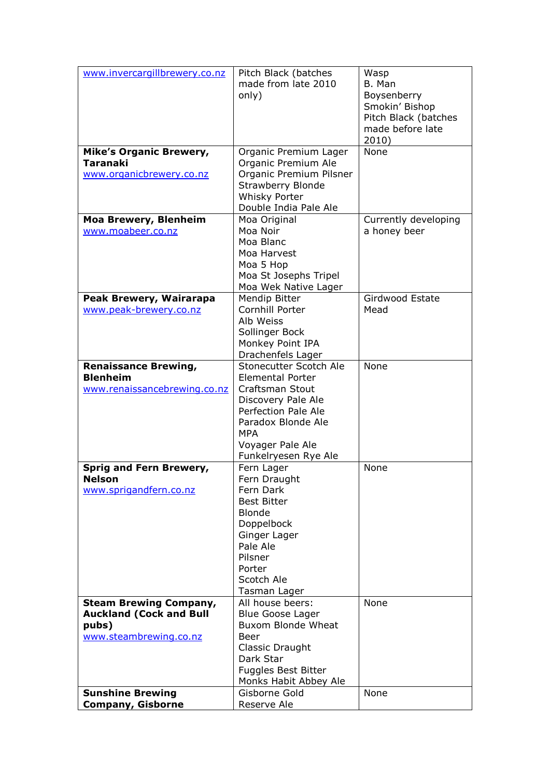| www.invercargillbrewery.co.nz  | Pitch Black (batches               | Wasp                 |
|--------------------------------|------------------------------------|----------------------|
|                                | made from late 2010                | B. Man               |
|                                | only)                              | Boysenberry          |
|                                |                                    | Smokin' Bishop       |
|                                |                                    | Pitch Black (batches |
|                                |                                    | made before late     |
|                                |                                    | 2010)                |
| <b>Mike's Organic Brewery,</b> | Organic Premium Lager              | None                 |
| <b>Taranaki</b>                | Organic Premium Ale                |                      |
| www.organicbrewery.co.nz       | Organic Premium Pilsner            |                      |
|                                | <b>Strawberry Blonde</b>           |                      |
|                                | <b>Whisky Porter</b>               |                      |
|                                | Double India Pale Ale              |                      |
| <b>Moa Brewery, Blenheim</b>   | Moa Original                       | Currently developing |
| www.moabeer.co.nz              | Moa Noir                           | a honey beer         |
|                                | Moa Blanc                          |                      |
|                                | Moa Harvest                        |                      |
|                                | Moa 5 Hop                          |                      |
|                                | Moa St Josephs Tripel              |                      |
|                                | Moa Wek Native Lager               |                      |
| Peak Brewery, Wairarapa        | Mendip Bitter                      | Girdwood Estate      |
| www.peak-brewery.co.nz         | Cornhill Porter                    | Mead                 |
|                                | Alb Weiss                          |                      |
|                                | Sollinger Bock                     |                      |
|                                | Monkey Point IPA                   |                      |
|                                | Drachenfels Lager                  |                      |
| <b>Renaissance Brewing,</b>    | Stonecutter Scotch Ale             | None                 |
| <b>Blenheim</b>                | <b>Elemental Porter</b>            |                      |
| www.renaissancebrewing.co.nz   | Craftsman Stout                    |                      |
|                                | Discovery Pale Ale                 |                      |
|                                | <b>Perfection Pale Ale</b>         |                      |
|                                | Paradox Blonde Ale                 |                      |
|                                | MPA                                |                      |
|                                | Voyager Pale Ale                   |                      |
| Sprig and Fern Brewery,        | Funkelryesen Rye Ale<br>Fern Lager | None                 |
| Nelson                         | Fern Draught                       |                      |
| www.sprigandfern.co.nz         | Fern Dark                          |                      |
|                                | <b>Best Bitter</b>                 |                      |
|                                | <b>Blonde</b>                      |                      |
|                                | Doppelbock                         |                      |
|                                | Ginger Lager                       |                      |
|                                | Pale Ale                           |                      |
|                                | Pilsner                            |                      |
|                                | Porter                             |                      |
|                                | Scotch Ale                         |                      |
|                                | Tasman Lager                       |                      |
| <b>Steam Brewing Company,</b>  | All house beers:                   | None                 |
| <b>Auckland (Cock and Bull</b> | <b>Blue Goose Lager</b>            |                      |
| pubs)                          | <b>Buxom Blonde Wheat</b>          |                      |
| www.steambrewing.co.nz         | Beer                               |                      |
|                                | Classic Draught                    |                      |
|                                | Dark Star                          |                      |
|                                | Fuggles Best Bitter                |                      |
|                                | Monks Habit Abbey Ale              |                      |
| <b>Sunshine Brewing</b>        | Gisborne Gold                      | None                 |
| <b>Company, Gisborne</b>       | Reserve Ale                        |                      |